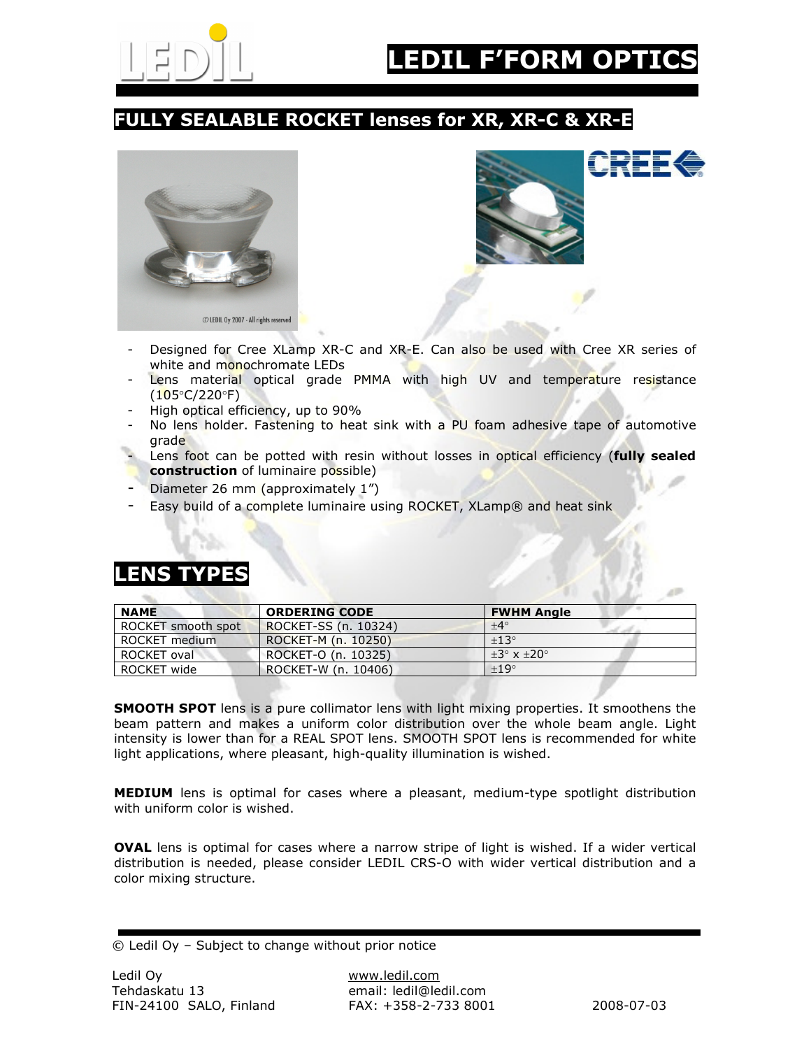

#### FULLY SEALABLE ROCKET lenses for XR, XR-C & XR-E





- Designed for Cree XLamp XR-C and XR-E. Can also be used with Cree XR series of white and monochromate LEDs
- Lens material optical grade PMMA with high UV and temperature resistance (105°C/220°F)
- High optical efficiency, up to 90%
- No lens holder. Fastening to heat sink with a PU foam adhesive tape of automotive grade
- Lens foot can be potted with resin without losses in optical efficiency (fully sealed construction of luminaire possible)
- Diameter 26 mm (approximately 1")
- Easy build of a complete luminaire using ROCKET, XLamp® and heat sink

#### LENS TYPES

| <b>NAME</b>        | <b>ORDERING CODE</b> | <b>FWHM Angle</b>           |
|--------------------|----------------------|-----------------------------|
| ROCKET smooth spot | ROCKET-SS (n. 10324) | $+4^\circ$                  |
| ROCKET medium      | ROCKET-M (n. 10250)  | $+13^\circ$                 |
| ROCKET oval        | ROCKET-O (n. 10325)  | $+3^\circ \times +20^\circ$ |
| ROCKET wide        | ROCKET-W (n. 10406)  | $+19^\circ$                 |

**SMOOTH SPOT** lens is a pure collimator lens with light mixing properties. It smoothens the beam pattern and makes a uniform color distribution over the whole beam angle. Light intensity is lower than for a REAL SPOT lens. SMOOTH SPOT lens is recommended for white light applications, where pleasant, high-quality illumination is wished.

MEDIUM lens is optimal for cases where a pleasant, medium-type spotlight distribution with uniform color is wished.

OVAL lens is optimal for cases where a narrow stripe of light is wished. If a wider vertical distribution is needed, please consider LEDIL CRS-O with wider vertical distribution and a color mixing structure.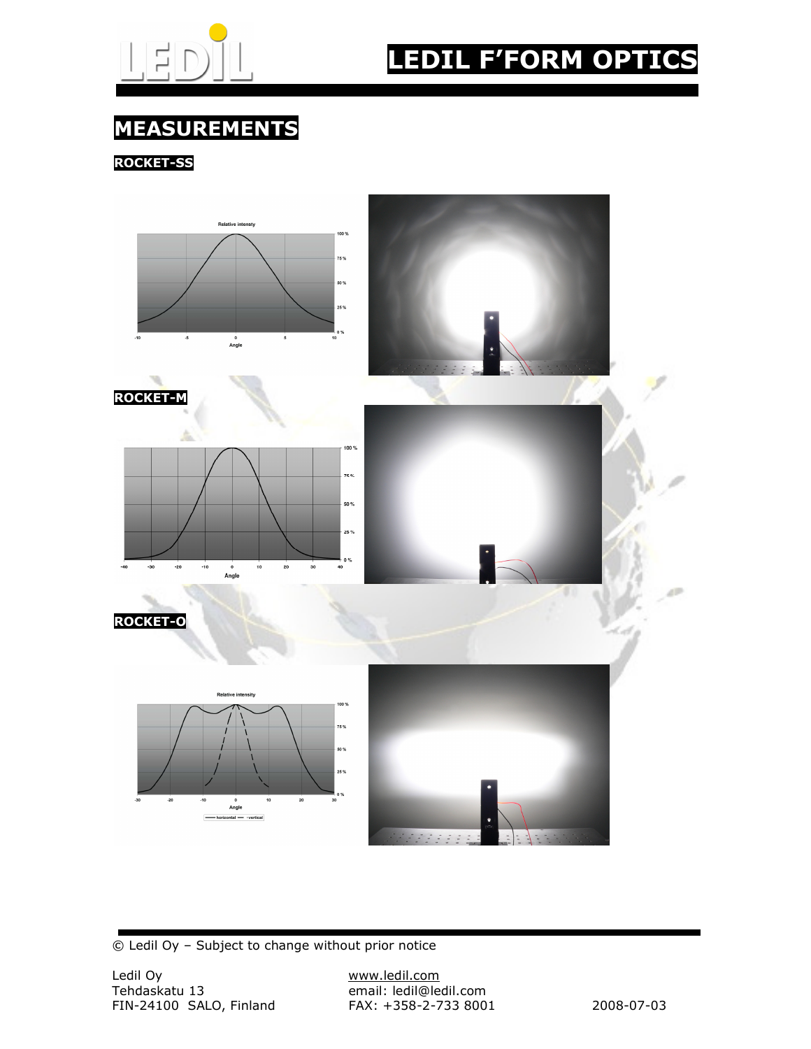

## LEDIL F'FORM OPTICS

### MEASUREMENTS

ROCKET-SS

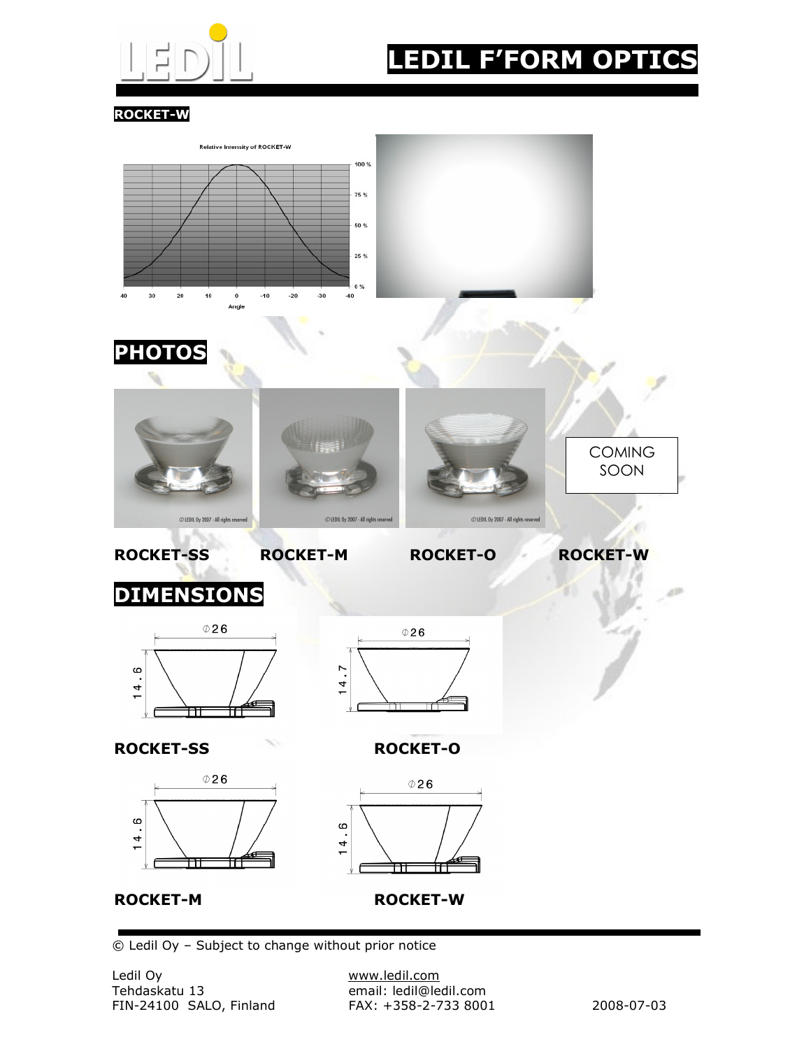

# LEDIL F'FORM OPTICS

ROCKET-W